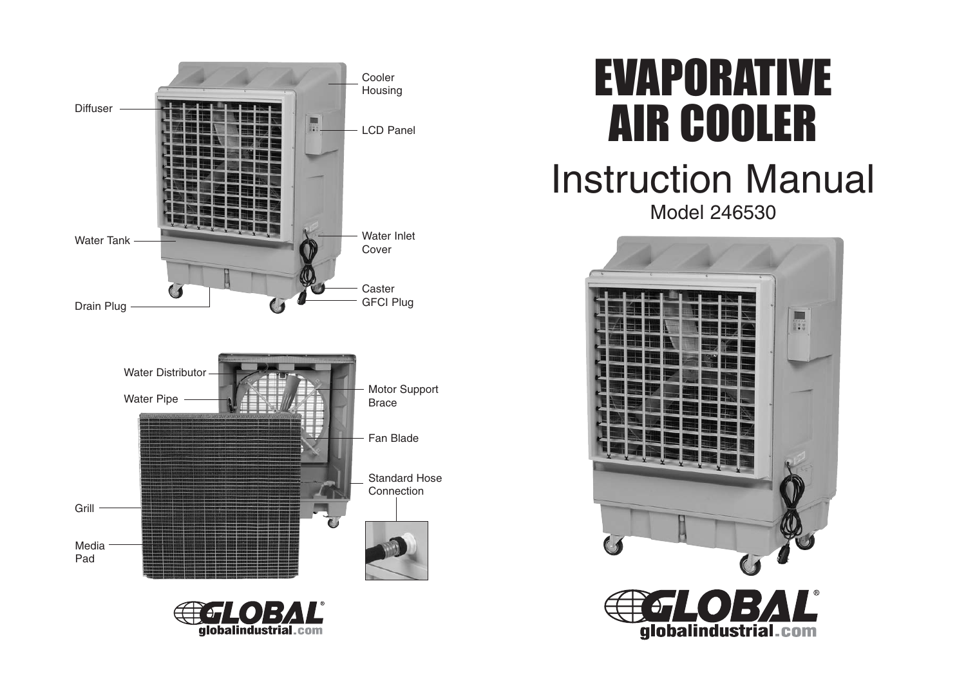



# EVAPORATIVE AIR COOLER

## Instruction Manual Model 246530

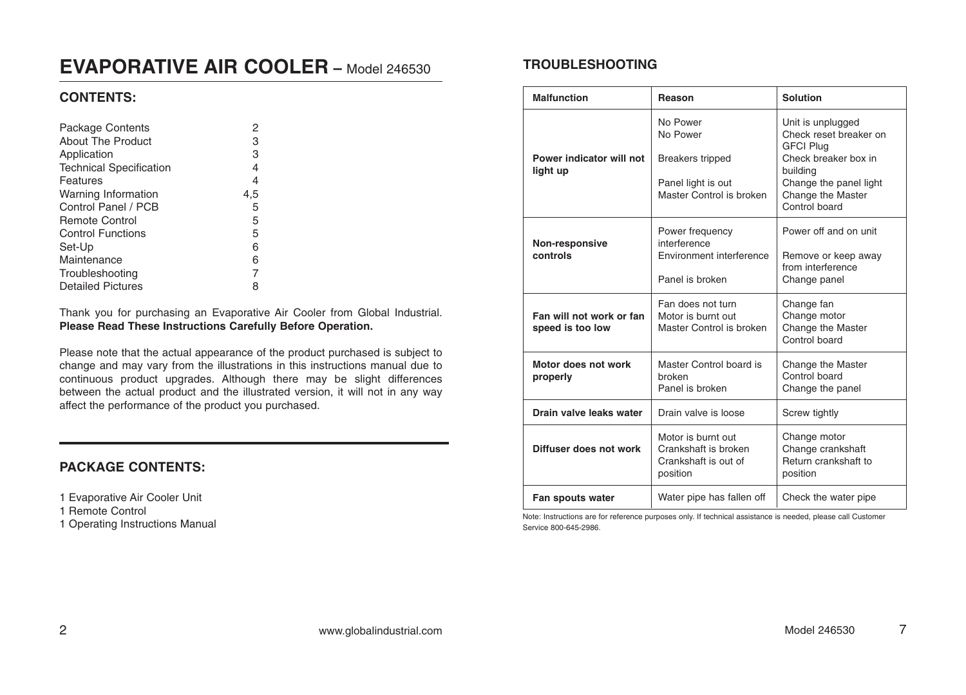## **EVAPORATIVE AIR COOLER –** Model 246530

## **CONTENTS:**

| <b>Package Contents</b>        | 2   |
|--------------------------------|-----|
| About The Product              | 3   |
| Application                    | 3   |
| <b>Technical Specification</b> | 4   |
| Features                       | 4   |
| Warning Information            | 4,5 |
| Control Panel / PCB            | 5   |
| <b>Remote Control</b>          | 5   |
| <b>Control Functions</b>       | 5   |
| Set-Up                         | 6   |
| Maintenance                    | 6   |
| Troubleshooting                |     |
| <b>Detailed Pictures</b>       | 8   |

Thank you for purchasing an Evaporative Air Cooler from Global Industrial. **Please Read These Instructions Carefully Before Operation.**

Please note that the actual appearance of the product purchased is subject to change and may vary from the illustrations in this instructions manual due to continuous product upgrades. Although there may be slight differences between the actual product and the illustrated version, it will not in any way affect the performance of the product you purchased.

## **PACKAGE CONTENTS:**

1 Evaporative Air Cooler Unit

- 1 Remote Control
- 1 Operating Instructions Manual

## **TROUBLESHOOTING**

| <b>Malfunction</b>                           | Reason                                                                                            | <b>Solution</b>                                                                                                                                                     |
|----------------------------------------------|---------------------------------------------------------------------------------------------------|---------------------------------------------------------------------------------------------------------------------------------------------------------------------|
| Power indicator will not<br>light up         | No Power<br>No Power<br><b>Breakers tripped</b><br>Panel light is out<br>Master Control is broken | Unit is unplugged<br>Check reset breaker on<br><b>GFCI Plug</b><br>Check breaker box in<br>building<br>Change the panel light<br>Change the Master<br>Control board |
| <b>Non-responsive</b><br>controls            | Power frequency<br>interference<br>Environment interference<br>Panel is broken                    | Power off and on unit<br>Remove or keep away<br>from interference<br>Change panel                                                                                   |
| Fan will not work or fan<br>speed is too low | Fan does not turn<br>Motor is burnt out<br>Master Control is broken                               | Change fan<br>Change motor<br>Change the Master<br>Control board                                                                                                    |
| Motor does not work<br>properly              | Master Control board is<br>broken<br>Panel is broken                                              | Change the Master<br>Control board<br>Change the panel                                                                                                              |
| Drain valve leaks water                      | Drain valve is loose                                                                              | Screw tightly                                                                                                                                                       |
| Diffuser does not work                       | Motor is burnt out<br>Crankshaft is broken<br>Crankshaft is out of<br>position                    | Change motor<br>Change crankshaft<br>Return crankshaft to<br>position                                                                                               |
| Fan spouts water                             | Water pipe has fallen off                                                                         | Check the water pipe                                                                                                                                                |

Note: Instructions are for reference purposes only. If technical assistance is needed, please call Customer Service 800-645-2986.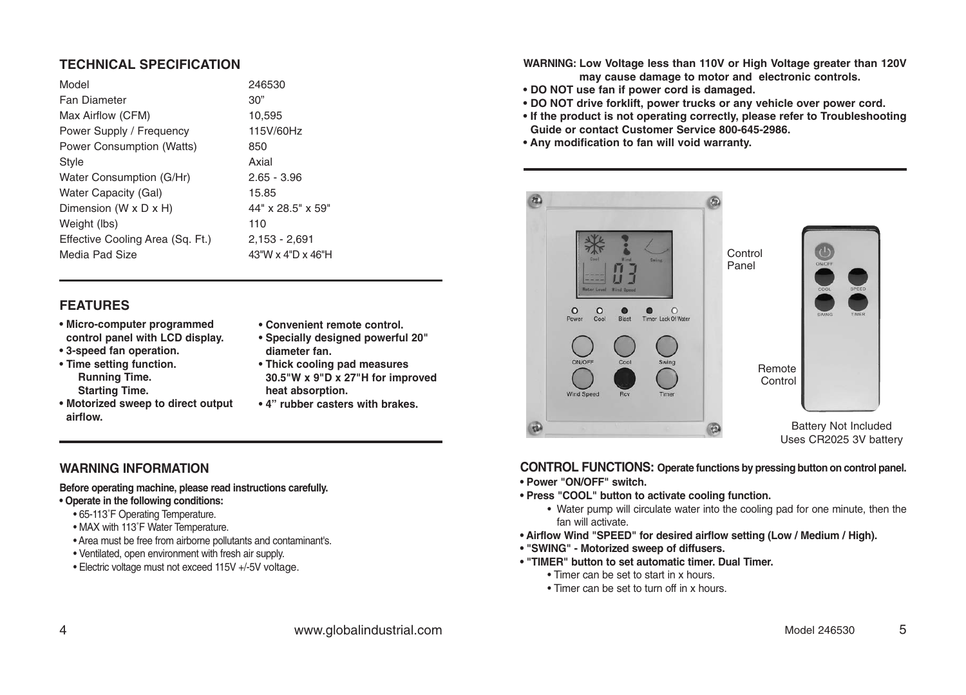## **TECHNICAL SPECIFICATION**

| Model                            | 246530            |
|----------------------------------|-------------------|
| <b>Fan Diameter</b>              | 30"               |
| Max Airflow (CFM)                | 10,595            |
| Power Supply / Frequency         | 115V/60Hz         |
| <b>Power Consumption (Watts)</b> | 850               |
| <b>Style</b>                     | Axial             |
| Water Consumption (G/Hr)         | $2.65 - 3.96$     |
| <b>Water Capacity (Gal)</b>      | 15.85             |
| Dimension (W x D x H)            | 44" x 28.5" x 59" |
| Weight (lbs)                     | 110               |
| Effective Cooling Area (Sq. Ft.) | $2,153 - 2,691$   |
| Media Pad Size                   | 43"W x 4"D x 46"H |
|                                  |                   |

### **FEATURES**

- **Micro-computer programmed control panel with LCD display.**
- **3-speed fan operation.**
- **Time setting function. Running Time. Starting Time.**
- **Motorized sweep to direct output airflow.**
- **Convenient remote control.**
- **Specially designed powerful 20" diameter fan.**
- **Thick cooling pad measures 30.5"W x 9"D x 27"H for improved heat absorption.**
- **4" rubber casters with brakes.**

## **WARNING INFORMATION**

### **Before operating machine, please read instructions carefully.**

### **• Operate in the following conditions:**

- 65-113˚F Operating Temperature.
- MAX with 113˚F Water Temperature.
- Area must be free from airborne pollutants and contaminant's.
- Ventilated, open environment with fresh air supply.
- Electric voltage must not exceed 115V +/-5V voltage.

**WARNING: Low Voltage less than 110V or High Voltage greater than 120V may cause damage to motor and electronic controls.**

- **DO NOT use fan if power cord is damaged.**
- **DO NOT drive forklift, power trucks or any vehicle over power cord.**
- **If the product is not operating correctly, please refer to Troubleshooting Guide or contact Customer Service 800-645-2986.**
- **Any modification to fan will void warranty.**



### **CONTROL FUNCTIONS: Operate functions by pressing button on control panel. • Power "ON/OFF" switch.**

- **Press "COOL" button to activate cooling function.**
	- Water pump will circulate water into the cooling pad for one minute, then the fan will activate.
- **Airflow Wind "SPEED" for desired airflow setting (Low / Medium / High).**
- **"SWING" Motorized sweep of diffusers.**
- **"TIMER" button to set automatic timer. Dual Timer.**
	- Timer can be set to start in x hours.
	- Timer can be set to turn off in x hours.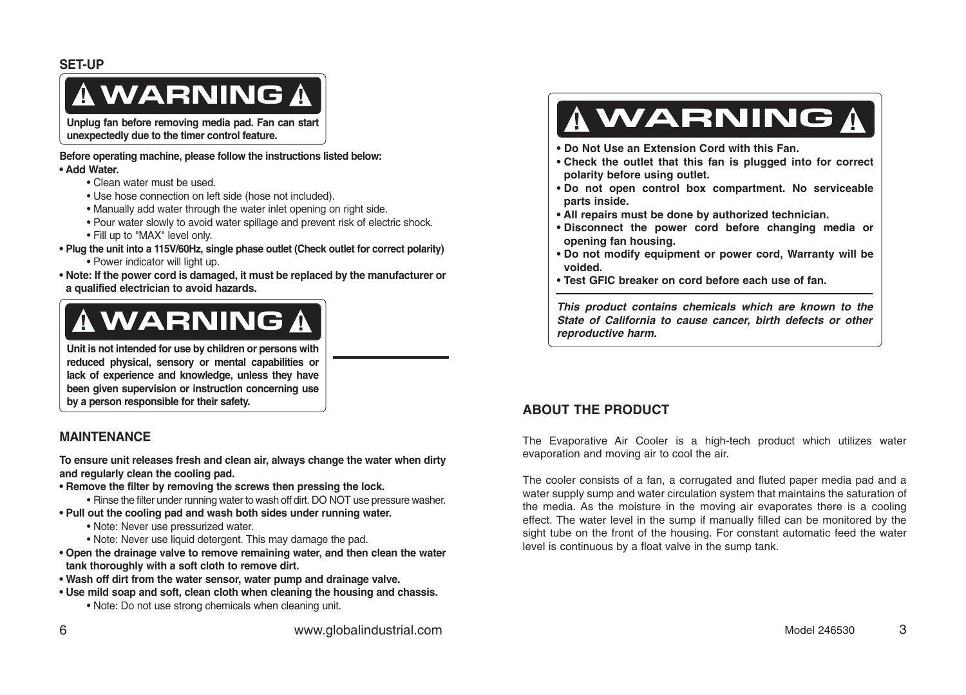## **!** WARNING **!**

**Unplug fan before removing media pad. Fan can start unexpectedly due to the timer control feature.**

**Before operating machine, please follow the instructions listed below: • Add Water.**

- Clean water must be used.
- Use hose connection on left side (hose not included).
- Manually add water through the water inlet opening on right side.
- Pour water slowly to avoid water spillage and prevent risk of electric shock.
- Fill up to "MAX" level only.
- **Plug the unit into a 115V/60Hz, single phase outlet (Check outlet for correct polarity)**
	- Power indicator will light up.
- **Note: If the power cord is damaged, it must be replaced by the manufacturer or a qualified electrician to avoid hazards.**

## **!** WARNING **!**

**Unit is not intended for use by children or persons with reduced physical, sensory or mental capabilities or lack of experience and knowledge, unless they have been given supervision or instruction concerning use by a person responsible for their safety. ABOUT THE PRODUCT** 

## **MAINTENANCE**

**To ensure unit releases fresh and clean air, always change the water when dirty and regularly clean the cooling pad.** 

- **Remove the filter by removing the screws then pressing the lock.**
	- Rinse the filter under running water to wash off dirt. DO NOT use pressure washer.
- **Pull out the cooling pad and wash both sides under running water.**
	- Note: Never use pressurized water.
	- Note: Never use liquid detergent. This may damage the pad.
- **Open the drainage valve to remove remaining water, and then clean the water tank thoroughly with a soft cloth to remove dirt.**
- **Wash off dirt from the water sensor, water pump and drainage valve.**
- **Use mild soap and soft, clean cloth when cleaning the housing and chassis.** • Note: Do not use strong chemicals when cleaning unit.

## **!** WARNING **!**

- **Do Not Use an Extension Cord with this Fan.**
- **Check the outlet that this fan is plugged into for correct polarity before using outlet.**
- **Do not open control box compartment. No serviceable parts inside.**
- **All repairs must be done by authorized technician.**
- **Disconnect the power cord before changing media or opening fan housing.**
- **Do not modify equipment or power cord, Warranty will be voided.**
- **Test GFIC breaker on cord before each use of fan.**

**This product contains chemicals which are known to the State of California to cause cancer, birth defects or other reproductive harm.**

The Evaporative Air Cooler is a high-tech product which utilizes water evaporation and moving air to cool the air.

The cooler consists of a fan, a corrugated and fluted paper media pad and a water supply sump and water circulation system that maintains the saturation of the media. As the moisture in the moving air evaporates there is a cooling effect. The water level in the sump if manually filled can be monitored by the sight tube on the front of the housing. For constant automatic feed the water level is continuous by a float valve in the sump tank.